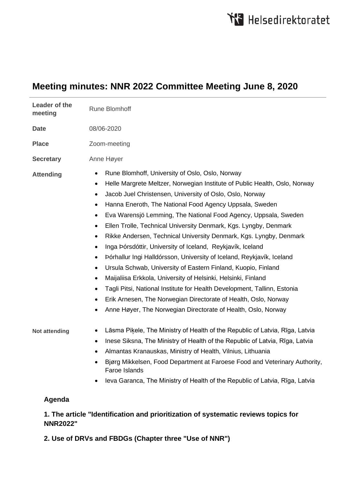# **Meeting minutes: NNR 2022 Committee Meeting June 8, 2020**

| Leader of the<br>meeting | <b>Rune Blomhoff</b>                                                                                                                                                                                                                                                                                                                                                                                                                                                                                                                                                                                                                                                                                                                                                                                                                                                                                                                                                                                                                                                                                                                             |
|--------------------------|--------------------------------------------------------------------------------------------------------------------------------------------------------------------------------------------------------------------------------------------------------------------------------------------------------------------------------------------------------------------------------------------------------------------------------------------------------------------------------------------------------------------------------------------------------------------------------------------------------------------------------------------------------------------------------------------------------------------------------------------------------------------------------------------------------------------------------------------------------------------------------------------------------------------------------------------------------------------------------------------------------------------------------------------------------------------------------------------------------------------------------------------------|
| <b>Date</b>              | 08/06-2020                                                                                                                                                                                                                                                                                                                                                                                                                                                                                                                                                                                                                                                                                                                                                                                                                                                                                                                                                                                                                                                                                                                                       |
| <b>Place</b>             | Zoom-meeting                                                                                                                                                                                                                                                                                                                                                                                                                                                                                                                                                                                                                                                                                                                                                                                                                                                                                                                                                                                                                                                                                                                                     |
| <b>Secretary</b>         | Anne Høyer                                                                                                                                                                                                                                                                                                                                                                                                                                                                                                                                                                                                                                                                                                                                                                                                                                                                                                                                                                                                                                                                                                                                       |
| <b>Attending</b>         | Rune Blomhoff, University of Oslo, Oslo, Norway<br>$\bullet$<br>Helle Margrete Meltzer, Norwegian Institute of Public Health, Oslo, Norway<br>$\bullet$<br>Jacob Juel Christensen, University of Oslo, Oslo, Norway<br>$\bullet$<br>Hanna Eneroth, The National Food Agency Uppsala, Sweden<br>$\bullet$<br>Eva Warensjö Lemming, The National Food Agency, Uppsala, Sweden<br>$\bullet$<br>Ellen Trolle, Technical University Denmark, Kgs. Lyngby, Denmark<br>$\bullet$<br>Rikke Andersen, Technical University Denmark, Kgs. Lyngby, Denmark<br>$\bullet$<br>Inga Þórsdóttir, University of Iceland, Reykjavík, Iceland<br>$\bullet$<br>Þórhallur Ingi Halldórsson, University of Iceland, Reykjavík, Iceland<br>$\bullet$<br>Ursula Schwab, University of Eastern Finland, Kuopio, Finland<br>$\bullet$<br>Maijaliisa Erkkola, University of Helsinki, Helsinki, Finland<br>$\bullet$<br>Tagli Pitsi, National Institute for Health Development, Tallinn, Estonia<br>$\bullet$<br>Erik Arnesen, The Norwegian Directorate of Health, Oslo, Norway<br>$\bullet$<br>Anne Høyer, The Norwegian Directorate of Health, Oslo, Norway<br>$\bullet$ |
| <b>Not attending</b>     | Lāsma Piķele, The Ministry of Health of the Republic of Latvia, Rīga, Latvia<br>٠<br>Inese Siksna, The Ministry of Health of the Republic of Latvia, Rīga, Latvia<br>$\bullet$<br>Almantas Kranauskas, Ministry of Health, Vilnius, Lithuania<br>$\bullet$<br>Bjørg Mikkelsen, Food Department at Faroese Food and Veterinary Authority,<br>$\bullet$<br>Faroe Islands                                                                                                                                                                                                                                                                                                                                                                                                                                                                                                                                                                                                                                                                                                                                                                           |
|                          | Ieva Garanca, The Ministry of Health of the Republic of Latvia, Rīga, Latvia<br>$\bullet$                                                                                                                                                                                                                                                                                                                                                                                                                                                                                                                                                                                                                                                                                                                                                                                                                                                                                                                                                                                                                                                        |

#### **Agenda**

## **1. The article "Identification and prioritization of systematic reviews topics for NNR2022"**

**2. Use of DRVs and FBDGs (Chapter three "Use of NNR")**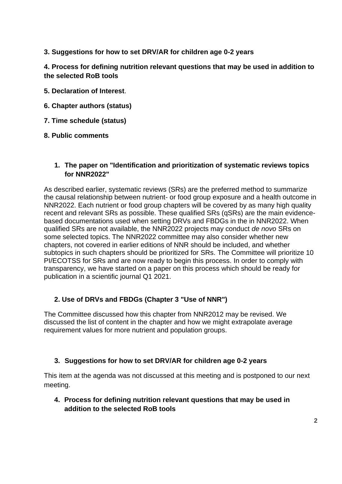**3. Suggestions for how to set DRV/AR for children age 0-2 years**

**4. Process for defining nutrition relevant questions that may be used in addition to the selected RoB tools**

- **5. Declaration of Interest**.
- **6. Chapter authors (status)**
- **7. Time schedule (status)**
- **8. Public comments**

#### **1. The paper on "Identification and prioritization of systematic reviews topics for NNR2022"**

As described earlier, systematic reviews (SRs) are the preferred method to summarize the causal relationship between nutrient- or food group exposure and a health outcome in NNR2022. Each nutrient or food group chapters will be covered by as many high quality recent and relevant SRs as possible. These qualified SRs (qSRs) are the main evidencebased documentations used when setting DRVs and FBDGs in the in NNR2022. When qualified SRs are not available, the NNR2022 projects may conduct *de novo* SRs on some selected topics. The NNR2022 committee may also consider whether new chapters, not covered in earlier editions of NNR should be included, and whether subtopics in such chapters should be prioritized for SRs. The Committee will prioritize 10 PI/ECOTSS for SRs and are now ready to begin this process. In order to comply with transparency, we have started on a paper on this process which should be ready for publication in a scientific journal Q1 2021.

#### **2. Use of DRVs and FBDGs (Chapter 3 "Use of NNR")**

The Committee discussed how this chapter from NNR2012 may be revised. We discussed the list of content in the chapter and how we might extrapolate average requirement values for more nutrient and population groups.

#### **3. Suggestions for how to set DRV/AR for children age 0-2 years**

This item at the agenda was not discussed at this meeting and is postponed to our next meeting.

**4. Process for defining nutrition relevant questions that may be used in addition to the selected RoB tools**